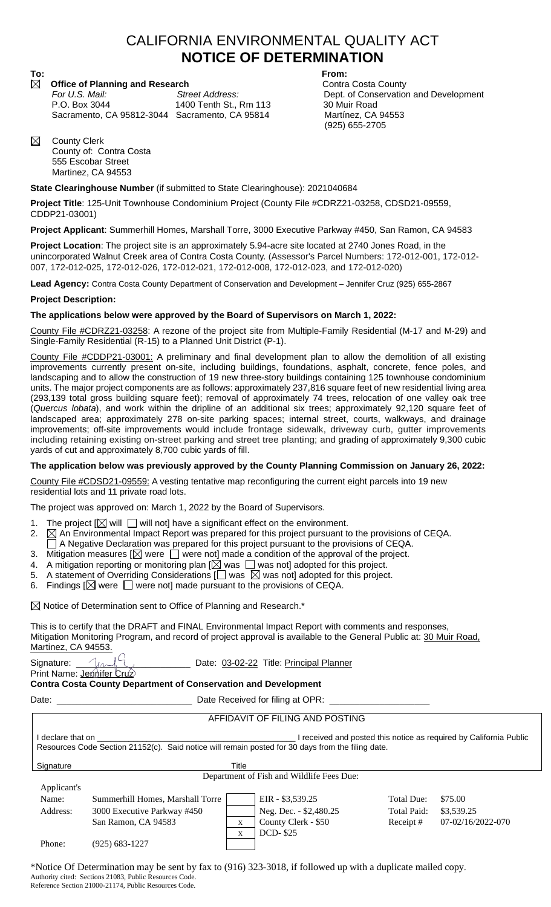## CALIFORNIA ENVIRONMENTAL QUALITY ACT **NOTICE OF DETERMINATION**

# **To: From:**

**Office of Planning and Research Contra Costa County For U.S. Mail:** Street Address: Contra Costa County For U.S. Mail: P.O. Box 3044 1400 Tenth St., Rm 113 30 Muir Road<br>Sacramento, CA 95812-3044 Sacramento, CA 95814 Martínez, CA 94553 Sacramento, CA 95812-3044 Sacramento, CA 95814

*For U.S. Mail: Street Address:* Dept. of Conservation and Development (925) 655-2705

⊠ County Clerk County of: Contra Costa 555 Escobar Street Martinez, CA 94553

### **State Clearinghouse Number** (if submitted to State Clearinghouse): 2021040684

**Project Title**: 125-Unit Townhouse Condominium Project (County File #CDRZ21-03258, CDSD21-09559, CDDP21-03001)

**Project Applicant**: Summerhill Homes, Marshall Torre, 3000 Executive Parkway #450, San Ramon, CA 94583

**Project Location**: The project site is an approximately 5.94-acre site located at 2740 Jones Road, in the unincorporated Walnut Creek area of Contra Costa County. (Assessor's Parcel Numbers: 172-012-001, 172-012- 007, 172-012-025, 172-012-026, 172-012-021, 172-012-008, 172-012-023, and 172-012-020)

**Lead Agency:** Contra Costa County Department of Conservation and Development – Jennifer Cruz (925) 655-2867

#### **Project Description:**

### **The applications below were approved by the Board of Supervisors on March 1, 2022:**

County File #CDRZ21-03258: A rezone of the project site from Multiple-Family Residential (M-17 and M-29) and Single-Family Residential (R-15) to a Planned Unit District (P-1).

County File #CDDP21-03001: A preliminary and final development plan to allow the demolition of all existing improvements currently present on-site, including buildings, foundations, asphalt, concrete, fence poles, and landscaping and to allow the construction of 19 new three-story buildings containing 125 townhouse condominium units. The major project components are as follows: approximately 237,816 square feet of new residential living area (293,139 total gross building square feet); removal of approximately 74 trees, relocation of one valley oak tree (*Quercus lobata*), and work within the dripline of an additional six trees; approximately 92,120 square feet of landscaped area; approximately 278 on-site parking spaces; internal street, courts, walkways, and drainage improvements; off-site improvements would include frontage sidewalk, driveway curb, gutter improvements including retaining existing on-street parking and street tree planting; and grading of approximately 9,300 cubic yards of cut and approximately 8,700 cubic yards of fill.

## **The application below was previously approved by the County Planning Commission on January 26, 2022:**

County File #CDSD21-09559: A vesting tentative map reconfiguring the current eight parcels into 19 new residential lots and 11 private road lots.

The project was approved on: March 1, 2022 by the Board of Supervisors.

- 1. The project  $[\boxtimes]$  will  $\Box$  will not] have a significant effect on the environment.
- 2.  $\boxtimes$  An Environmental Impact Report was prepared for this project pursuant to the provisions of CEQA.
- A Negative Declaration was prepared for this project pursuant to the provisions of CEQA.
- 3.  $\,$  Mitigation measures [ $\boxtimes$  were  $\, \bigsqcup$  were not] made a condition of the approval of the project.
- 4. A mitigation reporting or monitoring plan  $[\boxtimes]$  was  $\Box$  was not] adopted for this project.
- 5. A statement of Overriding Considerations  $[\Box]$  was  $\boxtimes$  was not] adopted for this project.
- 6. Findings  $[ $\boxtimes$  were  $\square$  were not] made pursuit to the provisions of CEQA.$

 $\boxtimes$  Notice of Determination sent to Office of Planning and Research.\*

This is to certify that the DRAFT and FINAL Environmental Impact Report with comments and responses, Mitigation Monitoring Program, and record of project approval is available to the General Public at: 30 Muir Road, Martinez, CA 94553.<br>Sinnature:  $\sqrt{\frac{1}{2}}$ 

Signature:  $\frac{1}{2}$   $\frac{1}{2}$   $\frac{1}{2}$   $\frac{1}{2}$  Date: 03-02-22 Title: Principal Planner

Print Name: Jennifer Cruz **Contra Costa County Department of Conservation and Development**

Date: \_\_\_\_\_\_\_\_\_\_\_\_\_\_\_\_\_\_\_\_\_\_\_\_\_\_\_ Date Received for filing at OPR: \_\_\_\_\_\_\_\_\_\_\_\_\_\_\_\_\_\_\_\_

## AFFIDAVIT OF FILING AND POSTING

I declare that on \_\_\_\_\_\_\_\_\_\_\_\_\_\_\_\_\_\_\_\_\_\_\_\_\_\_\_\_\_\_\_\_\_\_\_\_\_\_\_\_\_\_\_\_ I received and posted this notice as required by California Public Resources Code Section 21152(c). Said notice will remain posted for 30 days from the filing date.

| Signature   | Title                                     |   |                        |             |                   |
|-------------|-------------------------------------------|---|------------------------|-------------|-------------------|
|             | Department of Fish and Wildlife Fees Due: |   |                        |             |                   |
| Applicant's |                                           |   |                        |             |                   |
| Name:       | Summerhill Homes, Marshall Torre          |   | EIR - \$3,539.25       | Total Due:  | \$75.00           |
| Address:    | 3000 Executive Parkway #450               |   | Neg. Dec. - \$2,480.25 | Total Paid: | \$3,539.25        |
|             | San Ramon, CA 94583                       |   | County Clerk - \$50    | Receipt #   | 07-02/16/2022-070 |
|             |                                           | X | <b>DCD-\$25</b>        |             |                   |
| Phone:      | $(925) 683 - 1227$                        |   |                        |             |                   |

\*Notice Of Determination may be sent by fax to (916) 323-3018, if followed up with a duplicate mailed copy. Authority cited: Sections 21083, Public Resources Code. Reference Section 21000-21174, Public Resources Code.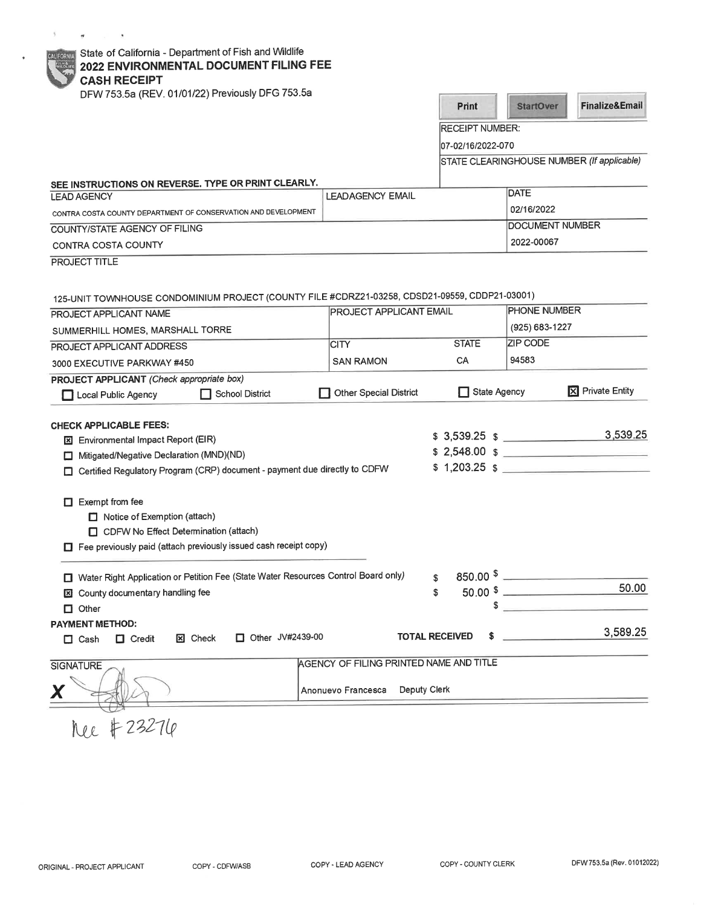| <b>If</b> State of California - Department of Fish and Wildlife |  |  |
|-----------------------------------------------------------------|--|--|

# 2022 ENVIRONMENTAL DOCUMENT FILING FEE

**CASH RECEIPT** 

 $\tilde{g}$  .

 $\theta$  and  $\theta$  . In the  $\theta$ 

| DFW 753.5a (REV. 01/01/22) Previously DFG 753.5a                                                                                                                                                                                                                                                                                                                         |                                                                               |                                   |                  |                                            |  |
|--------------------------------------------------------------------------------------------------------------------------------------------------------------------------------------------------------------------------------------------------------------------------------------------------------------------------------------------------------------------------|-------------------------------------------------------------------------------|-----------------------------------|------------------|--------------------------------------------|--|
|                                                                                                                                                                                                                                                                                                                                                                          |                                                                               | Print                             | <b>StartOver</b> | <b>Finalize&amp;Email</b>                  |  |
|                                                                                                                                                                                                                                                                                                                                                                          |                                                                               | <b>RECEIPT NUMBER:</b>            |                  |                                            |  |
|                                                                                                                                                                                                                                                                                                                                                                          |                                                                               | 07-02/16/2022-070                 |                  |                                            |  |
|                                                                                                                                                                                                                                                                                                                                                                          |                                                                               |                                   |                  | STATE CLEARINGHOUSE NUMBER (If applicable) |  |
| SEE INSTRUCTIONS ON REVERSE. TYPE OR PRINT CLEARLY.                                                                                                                                                                                                                                                                                                                      |                                                                               |                                   |                  |                                            |  |
| <b>LEAD AGENCY</b>                                                                                                                                                                                                                                                                                                                                                       | <b>LEADAGENCY EMAIL</b>                                                       |                                   | DATE             |                                            |  |
| CONTRA COSTA COUNTY DEPARTMENT OF CONSERVATION AND DEVELOPMENT                                                                                                                                                                                                                                                                                                           |                                                                               |                                   | 02/16/2022       |                                            |  |
| COUNTY/STATE AGENCY OF FILING                                                                                                                                                                                                                                                                                                                                            |                                                                               |                                   |                  | DOCUMENT NUMBER                            |  |
| CONTRA COSTA COUNTY                                                                                                                                                                                                                                                                                                                                                      |                                                                               |                                   | 2022-00067       |                                            |  |
| PROJECT TITLE                                                                                                                                                                                                                                                                                                                                                            |                                                                               |                                   |                  |                                            |  |
| 125-UNIT TOWNHOUSE CONDOMINIUM PROJECT (COUNTY FILE #CDRZ21-03258, CDSD21-09559, CDDP21-03001)                                                                                                                                                                                                                                                                           |                                                                               |                                   |                  |                                            |  |
| PROJECT APPLICANT NAME                                                                                                                                                                                                                                                                                                                                                   | <b>PROJECT APPLICANT EMAIL</b>                                                |                                   | PHONE NUMBER     |                                            |  |
| SUMMERHILL HOMES, MARSHALL TORRE                                                                                                                                                                                                                                                                                                                                         |                                                                               |                                   | (925) 683-1227   |                                            |  |
| PROJECT APPLICANT ADDRESS                                                                                                                                                                                                                                                                                                                                                | <b>CITY</b>                                                                   | <b>STATE</b>                      | <b>ZIP CODE</b>  |                                            |  |
| 3000 EXECUTIVE PARKWAY #450                                                                                                                                                                                                                                                                                                                                              | <b>SAN RAMON</b>                                                              | CA                                | 94583            |                                            |  |
| PROJECT APPLICANT (Check appropriate box)                                                                                                                                                                                                                                                                                                                                |                                                                               |                                   |                  |                                            |  |
| School District<br>Local Public Agency                                                                                                                                                                                                                                                                                                                                   | <b>Other Special District</b>                                                 | State Agency                      |                  | <b>区</b> Private Entity                    |  |
| <b>CHECK APPLICABLE FEES:</b><br>Environmental Impact Report (EIR)<br>Mitigated/Negative Declaration (MND)(ND)<br>ப<br>Certified Regulatory Program (CRP) document - payment due directly to CDFW<br>$\Box$ Exempt from fee<br>Notice of Exemption (attach)<br>CDFW No Effect Determination (attach)<br>Fee previously paid (attach previously issued cash receipt copy) |                                                                               | $$3,539.25$ $$$<br>$$1,203.25$ \$ |                  | 3,539.25<br>$$2,548.00$ $$$                |  |
| Water Right Application or Petition Fee (State Water Resources Control Board only)<br>County documentary handling fee<br>$\Box$ Other                                                                                                                                                                                                                                    |                                                                               | \$<br>$50.00$ \$<br>\$<br>\$      |                  | 50.00                                      |  |
| <b>PAYMENT METHOD:</b><br>Other JV#2439-00<br><b>x</b> Check<br>$\Box$ Credit<br>$\Box$ Cash                                                                                                                                                                                                                                                                             |                                                                               | <b>TOTAL RECEIVED</b>             |                  | 3,589.25                                   |  |
| <b>SIGNATURE</b>                                                                                                                                                                                                                                                                                                                                                         | AGENCY OF FILING PRINTED NAME AND TITLE<br>Deputy Clerk<br>Anonuevo Francesca |                                   |                  |                                            |  |
| nee # 23276                                                                                                                                                                                                                                                                                                                                                              |                                                                               |                                   |                  |                                            |  |